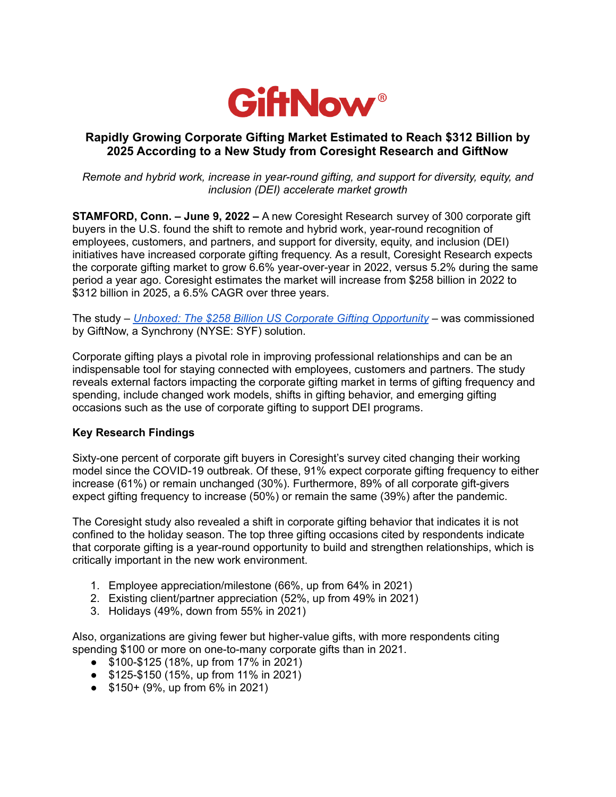

## **Rapidly Growing Corporate Gifting Market Estimated to Reach \$312 Billion by 2025 According to a New Study from Coresight Research and GiftNow**

*Remote and hybrid work, increase in year-round gifting, and support for diversity, equity, and inclusion (DEI) accelerate market growth*

**STAMFORD, Conn. – June 9, 2022 –** A new Coresight Research survey of 300 corporate gift buyers in the U.S. found the shift to remote and hybrid work, year-round recognition of employees, customers, and partners, and support for diversity, equity, and inclusion (DEI) initiatives have increased corporate gifting frequency. As a result, Coresight Research expects the corporate gifting market to grow 6.6% year-over-year in 2022, versus 5.2% during the same period a year ago. Coresight estimates the market will increase from \$258 billion in 2022 to \$312 billion in 2025, a 6.5% CAGR over three years.

The study – *Unboxed: The \$258 Billion US Corporate Gifting [Opportunity](https://www.giftnow.com/assets/files/Unboxed-The-258-Billion-US-Corporate-Gifting-Opportunity-Jun-9-2022.pdf)* – was commissioned by GiftNow, a Synchrony (NYSE: SYF) solution.

Corporate gifting plays a pivotal role in improving professional relationships and can be an indispensable tool for staying connected with employees, customers and partners. The study reveals external factors impacting the corporate gifting market in terms of gifting frequency and spending, include changed work models, shifts in gifting behavior, and emerging gifting occasions such as the use of corporate gifting to support DEI programs.

## **Key Research Findings**

Sixty-one percent of corporate gift buyers in Coresight's survey cited changing their working model since the COVID-19 outbreak. Of these, 91% expect corporate gifting frequency to either increase (61%) or remain unchanged (30%). Furthermore, 89% of all corporate gift-givers expect gifting frequency to increase (50%) or remain the same (39%) after the pandemic.

The Coresight study also revealed a shift in corporate gifting behavior that indicates it is not confined to the holiday season. The top three gifting occasions cited by respondents indicate that corporate gifting is a year-round opportunity to build and strengthen relationships, which is critically important in the new work environment.

- 1. Employee appreciation/milestone (66%, up from 64% in 2021)
- 2. Existing client/partner appreciation (52%, up from 49% in 2021)
- 3. Holidays (49%, down from 55% in 2021)

Also, organizations are giving fewer but higher-value gifts, with more respondents citing spending \$100 or more on one-to-many corporate gifts than in 2021.

- \$100-\$125 (18%, up from 17% in 2021)
- \$125-\$150 (15%, up from 11% in 2021)
- $\bullet$  \$150 + (9%, up from 6% in 2021)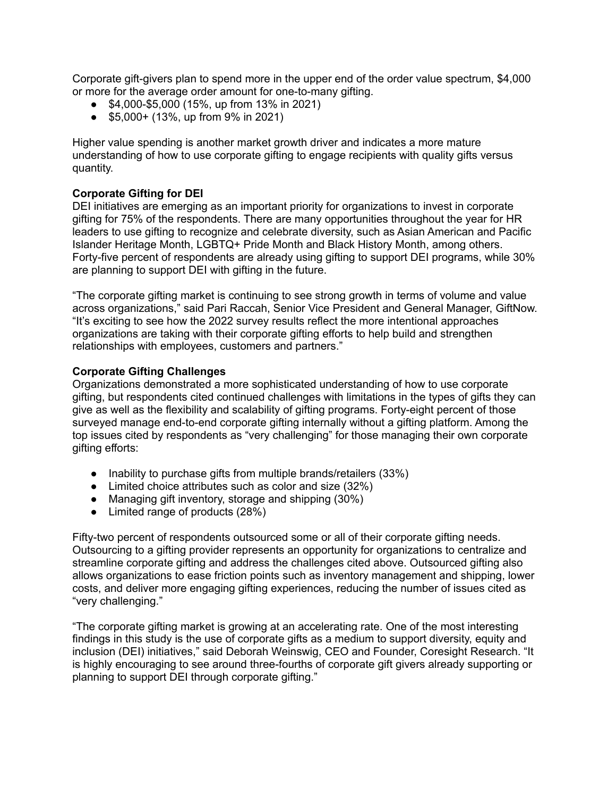Corporate gift-givers plan to spend more in the upper end of the order value spectrum, \$4,000 or more for the average order amount for one-to-many gifting.

- \$4,000-\$5,000 (15%, up from 13% in 2021)
- \$5,000+ (13%, up from 9% in 2021)

Higher value spending is another market growth driver and indicates a more mature understanding of how to use corporate gifting to engage recipients with quality gifts versus quantity.

### **Corporate Gifting for DEI**

DEI initiatives are emerging as an important priority for organizations to invest in corporate gifting for 75% of the respondents. There are many opportunities throughout the year for HR leaders to use gifting to recognize and celebrate diversity, such as Asian American and Pacific Islander Heritage Month, LGBTQ+ Pride Month and Black History Month, among others. Forty-five percent of respondents are already using gifting to support DEI programs, while 30% are planning to support DEI with gifting in the future.

"The corporate gifting market is continuing to see strong growth in terms of volume and value across organizations," said Pari Raccah, Senior Vice President and General Manager, GiftNow. "It's exciting to see how the 2022 survey results reflect the more intentional approaches organizations are taking with their corporate gifting efforts to help build and strengthen relationships with employees, customers and partners."

#### **Corporate Gifting Challenges**

Organizations demonstrated a more sophisticated understanding of how to use corporate gifting, but respondents cited continued challenges with limitations in the types of gifts they can give as well as the flexibility and scalability of gifting programs. Forty-eight percent of those surveyed manage end-to-end corporate gifting internally without a gifting platform. Among the top issues cited by respondents as "very challenging" for those managing their own corporate gifting efforts:

- Inability to purchase gifts from multiple brands/retailers (33%)
- Limited choice attributes such as color and size (32%)
- Managing gift inventory, storage and shipping (30%)
- Limited range of products (28%)

Fifty-two percent of respondents outsourced some or all of their corporate gifting needs. Outsourcing to a gifting provider represents an opportunity for organizations to centralize and streamline corporate gifting and address the challenges cited above. Outsourced gifting also allows organizations to ease friction points such as inventory management and shipping, lower costs, and deliver more engaging gifting experiences, reducing the number of issues cited as "very challenging."

"The corporate gifting market is growing at an accelerating rate. One of the most interesting findings in this study is the use of corporate gifts as a medium to support diversity, equity and inclusion (DEI) initiatives," said Deborah Weinswig, CEO and Founder, Coresight Research. "It is highly encouraging to see around three-fourths of corporate gift givers already supporting or planning to support DEI through corporate gifting."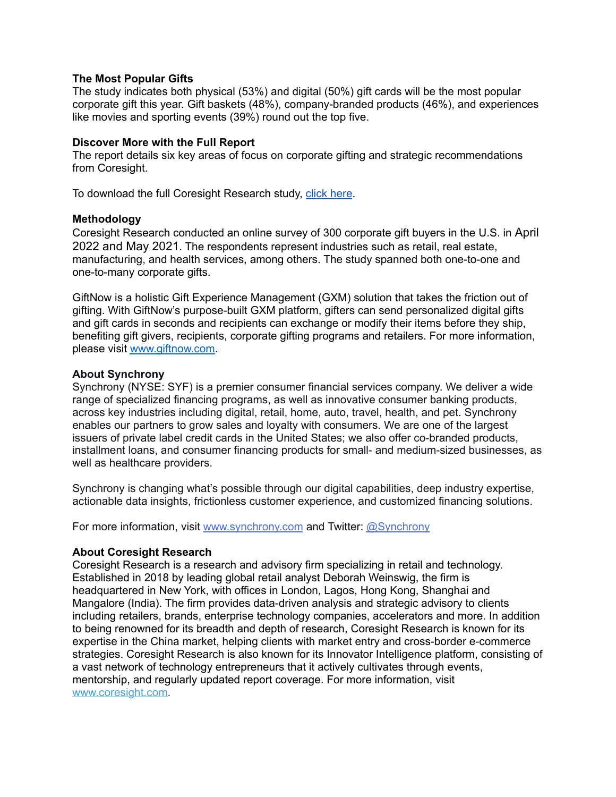#### **The Most Popular Gifts**

The study indicates both physical (53%) and digital (50%) gift cards will be the most popular corporate gift this year. Gift baskets (48%), company-branded products (46%), and experiences like movies and sporting events (39%) round out the top five.

#### **Discover More with the Full Report**

The report details six key areas of focus on corporate gifting and strategic recommendations from Coresight.

To download the full Coresight Research study, click [here](https://www.giftnow.com/assets/files/Unboxed-The-258-Billion-US-Corporate-Gifting-Opportunity-Jun-9-2022.pdf).

#### **Methodology**

Coresight Research conducted an online survey of 300 corporate gift buyers in the U.S. in April 2022 and May 2021. The respondents represent industries such as retail, real estate, manufacturing, and health services, among others. The study spanned both one-to-one and one-to-many corporate gifts.

GiftNow is a holistic Gift Experience Management (GXM) solution that takes the friction out of gifting. With GiftNow's purpose-built GXM platform, gifters can send personalized digital gifts and gift cards in seconds and recipients can exchange or modify their items before they ship, benefiting gift givers, recipients, corporate gifting programs and retailers. For more information, please visit [www.giftnow.com.](http://www.giftnow.com)

#### **About Synchrony**

Synchrony (NYSE: SYF) is a premier consumer financial services company. We deliver a wide range of specialized financing programs, as well as innovative consumer banking products, across key industries including digital, retail, home, auto, travel, health, and pet. Synchrony enables our partners to grow sales and loyalty with consumers. We are one of the largest issuers of private label credit cards in the United States; we also offer co-branded products, installment loans, and consumer financing products for small- and medium-sized businesses, as well as healthcare providers.

Synchrony is changing what's possible through our digital capabilities, deep industry expertise, actionable data insights, frictionless customer experience, and customized financing solutions.

For more information, visit [www.synchrony.com](http://www.synchrony.com/) and Twitter: [@Synchrony](https://twitter.com/Synchrony)

#### **About Coresight Research**

Coresight Research is a research and advisory firm specializing in retail and technology. Established in 2018 by leading global retail analyst Deborah Weinswig, the firm is headquartered in New York, with offices in London, Lagos, Hong Kong, Shanghai and Mangalore (India). The firm provides data-driven analysis and strategic advisory to clients including retailers, brands, enterprise technology companies, accelerators and more. In addition to being renowned for its breadth and depth of research, Coresight Research is known for its expertise in the China market, helping clients with market entry and cross-border e-commerce strategies. Coresight Research is also known for its Innovator Intelligence platform, consisting of a vast network of technology entrepreneurs that it actively cultivates through events, mentorship, and regularly updated report coverage. For more information, visit [www.coresight.com.](https://cts.businesswire.com/ct/CT?id=smartlink&url=http%3A%2F%2Fwww.coresight.com%2F&esheet=52495356&newsitemid=20210921005870&lan=en-US&anchor=www.coresight.com&index=2&md5=2e6056df7ea0126aa0edb35598ebb007)